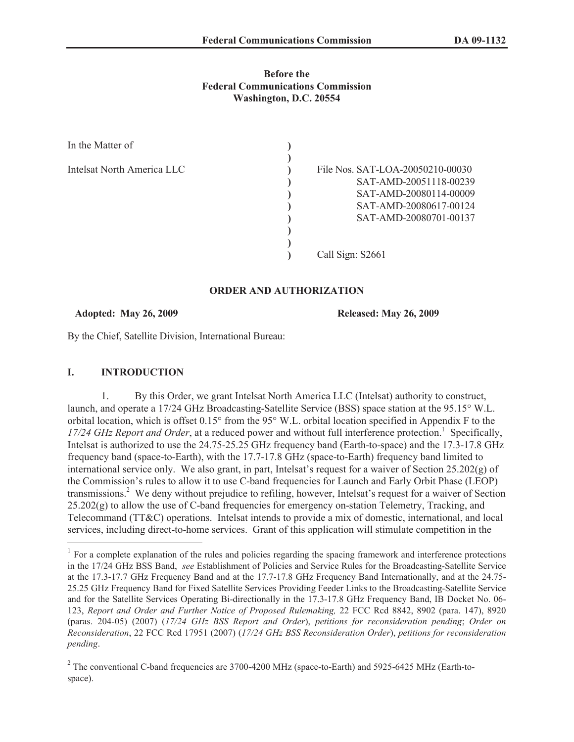### **Before the Federal Communications Commission Washington, D.C. 20554**

| In the Matter of           |                                                                                                                                          |
|----------------------------|------------------------------------------------------------------------------------------------------------------------------------------|
| Intelsat North America LLC | File Nos. SAT-LOA-20050210-00030<br>SAT-AMD-20051118-00239<br>SAT-AMD-20080114-00009<br>SAT-AMD-20080617-00124<br>SAT-AMD-20080701-00137 |
|                            | Call Sign: S2661                                                                                                                         |

### **ORDER AND AUTHORIZATION**

#### **Adopted: May 26, 2009 Released: May 26, 2009**

By the Chief, Satellite Division, International Bureau:

### **I. INTRODUCTION**

1. By this Order, we grant Intelsat North America LLC (Intelsat) authority to construct, launch, and operate a 17/24 GHz Broadcasting-Satellite Service (BSS) space station at the 95.15° W.L. orbital location, which is offset 0.15° from the 95° W.L. orbital location specified in Appendix F to the 17/24 GHz Report and Order, at a reduced power and without full interference protection.<sup>1</sup> Specifically, Intelsat is authorized to use the 24.75-25.25 GHz frequency band (Earth-to-space) and the 17.3-17.8 GHz frequency band (space-to-Earth), with the 17.7-17.8 GHz (space-to-Earth) frequency band limited to international service only. We also grant, in part, Intelsat's request for a waiver of Section 25.202(g) of the Commission's rules to allow it to use C-band frequencies for Launch and Early Orbit Phase (LEOP) transmissions.<sup>2</sup> We deny without prejudice to refiling, however, Intelsat's request for a waiver of Section  $25.202(g)$  to allow the use of C-band frequencies for emergency on-station Telemetry, Tracking, and Telecommand (TT&C) operations. Intelsat intends to provide a mix of domestic, international, and local services, including direct-to-home services. Grant of this application will stimulate competition in the

 $<sup>1</sup>$  For a complete explanation of the rules and policies regarding the spacing framework and interference protections</sup> in the 17/24 GHz BSS Band, *see* Establishment of Policies and Service Rules for the Broadcasting-Satellite Service at the 17.3-17.7 GHz Frequency Band and at the 17.7-17.8 GHz Frequency Band Internationally, and at the 24.75- 25.25 GHz Frequency Band for Fixed Satellite Services Providing Feeder Links to the Broadcasting-Satellite Service and for the Satellite Services Operating Bi-directionally in the 17.3-17.8 GHz Frequency Band, IB Docket No. 06- 123, *Report and Order and Further Notice of Proposed Rulemaking,* 22 FCC Rcd 8842, 8902 (para. 147), 8920 (paras. 204-05) (2007) (*17/24 GHz BSS Report and Order*), *petitions for reconsideration pending*; *Order on Reconsideration*, 22 FCC Rcd 17951 (2007) (*17/24 GHz BSS Reconsideration Order*), *petitions for reconsideration pending*.

 $2^2$  The conventional C-band frequencies are 3700-4200 MHz (space-to-Earth) and 5925-6425 MHz (Earth-tospace).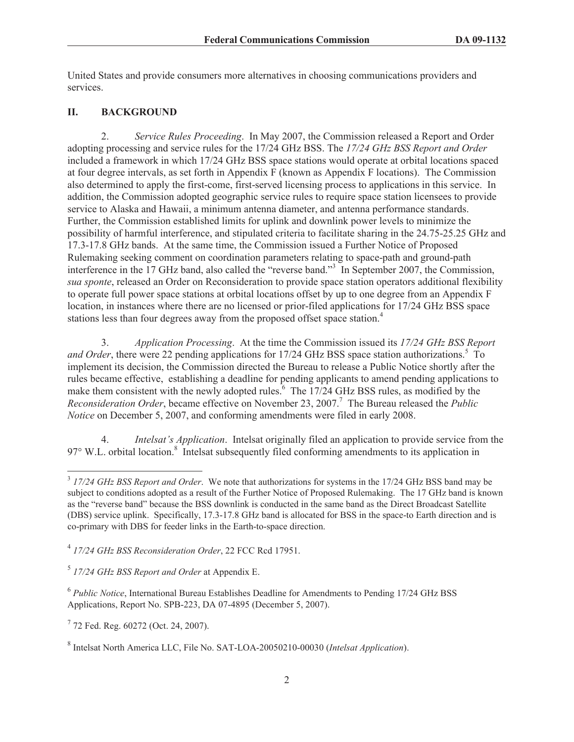United States and provide consumers more alternatives in choosing communications providers and services.

### **II. BACKGROUND**

2. *Service Rules Proceeding*. In May 2007, the Commission released a Report and Order adopting processing and service rules for the 17/24 GHz BSS. The *17/24 GHz BSS Report and Order* included a framework in which 17/24 GHz BSS space stations would operate at orbital locations spaced at four degree intervals, as set forth in Appendix F (known as Appendix F locations). The Commission also determined to apply the first-come, first-served licensing process to applications in this service. In addition, the Commission adopted geographic service rules to require space station licensees to provide service to Alaska and Hawaii, a minimum antenna diameter, and antenna performance standards. Further, the Commission established limits for uplink and downlink power levels to minimize the possibility of harmful interference, and stipulated criteria to facilitate sharing in the 24.75-25.25 GHz and 17.3-17.8 GHz bands. At the same time, the Commission issued a Further Notice of Proposed Rulemaking seeking comment on coordination parameters relating to space-path and ground-path interference in the 17 GHz band, also called the "reverse band."<sup>3</sup> In September 2007, the Commission, *sua sponte*, released an Order on Reconsideration to provide space station operators additional flexibility to operate full power space stations at orbital locations offset by up to one degree from an Appendix F location, in instances where there are no licensed or prior-filed applications for 17/24 GHz BSS space stations less than four degrees away from the proposed offset space station.<sup>4</sup>

3. *Application Processing*. At the time the Commission issued its *17/24 GHz BSS Report and Order*, there were 22 pending applications for 17/24 GHz BSS space station authorizations.<sup>5</sup> To implement its decision, the Commission directed the Bureau to release a Public Notice shortly after the rules became effective, establishing a deadline for pending applicants to amend pending applications to make them consistent with the newly adopted rules.<sup> $6$ </sup> The  $17/24$  GHz BSS rules, as modified by the *Reconsideration Order*, became effective on November 23, 2007.<sup>7</sup> The Bureau released the *Public Notice* on December 5, 2007, and conforming amendments were filed in early 2008.

4. *Intelsat's Application*. Intelsat originally filed an application to provide service from the 97° W.L. orbital location.<sup>8</sup> Intelsat subsequently filed conforming amendments to its application in

5 *17/24 GHz BSS Report and Order* at Appendix E.

<sup>3</sup> *17/24 GHz BSS Report and Order*. We note that authorizations for systems in the 17/24 GHz BSS band may be subject to conditions adopted as a result of the Further Notice of Proposed Rulemaking. The 17 GHz band is known as the "reverse band" because the BSS downlink is conducted in the same band as the Direct Broadcast Satellite (DBS) service uplink. Specifically, 17.3-17.8 GHz band is allocated for BSS in the space-to Earth direction and is co-primary with DBS for feeder links in the Earth-to-space direction.

<sup>4</sup> *17/24 GHz BSS Reconsideration Order*, 22 FCC Rcd 17951.

<sup>&</sup>lt;sup>6</sup> Public Notice, International Bureau Establishes Deadline for Amendments to Pending 17/24 GHz BSS Applications, Report No. SPB-223, DA 07-4895 (December 5, 2007).

<sup>&</sup>lt;sup>7</sup> 72 Fed. Reg. 60272 (Oct. 24, 2007).

<sup>8</sup> Intelsat North America LLC, File No. SAT-LOA-20050210-00030 (*Intelsat Application*).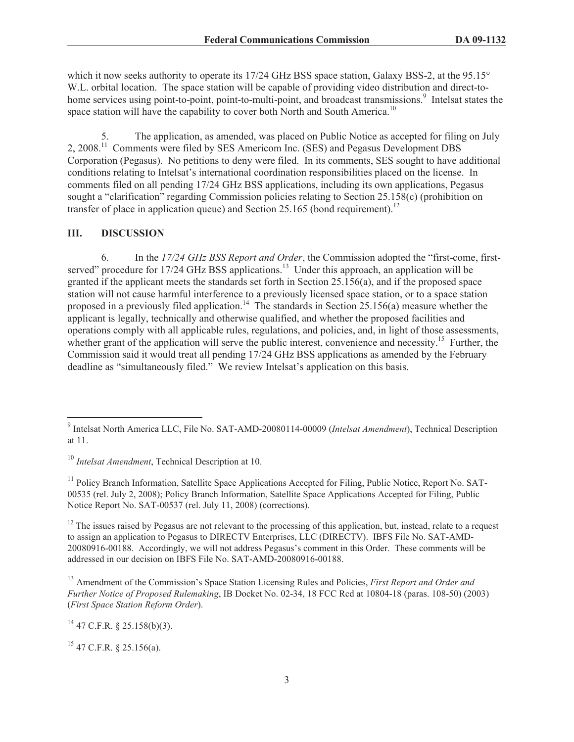which it now seeks authority to operate its 17/24 GHz BSS space station, Galaxy BSS-2, at the 95.15° W.L. orbital location. The space station will be capable of providing video distribution and direct-tohome services using point-to-point, point-to-multi-point, and broadcast transmissions.<sup>9</sup> Intelsat states the space station will have the capability to cover both North and South America.<sup>10</sup>

The application, as amended, was placed on Public Notice as accepted for filing on July 2, 2008.<sup>11</sup> Comments were filed by SES Americom Inc. (SES) and Pegasus Development DBS Corporation (Pegasus). No petitions to deny were filed. In its comments, SES sought to have additional conditions relating to Intelsat's international coordination responsibilities placed on the license. In comments filed on all pending 17/24 GHz BSS applications, including its own applications, Pegasus sought a "clarification" regarding Commission policies relating to Section 25.158(c) (prohibition on transfer of place in application queue) and Section 25.165 (bond requirement).<sup>12</sup>

#### **III. DISCUSSION**

6. In the *17/24 GHz BSS Report and Order*, the Commission adopted the "first-come, firstserved" procedure for 17/24 GHz BSS applications.<sup>13</sup> Under this approach, an application will be granted if the applicant meets the standards set forth in Section 25.156(a), and if the proposed space station will not cause harmful interference to a previously licensed space station, or to a space station proposed in a previously filed application.<sup>14</sup> The standards in Section 25.156(a) measure whether the applicant is legally, technically and otherwise qualified, and whether the proposed facilities and operations comply with all applicable rules, regulations, and policies, and, in light of those assessments, whether grant of the application will serve the public interest, convenience and necessity.<sup>15</sup> Further, the Commission said it would treat all pending 17/24 GHz BSS applications as amended by the February deadline as "simultaneously filed." We review Intelsat's application on this basis.

<sup>10</sup> *Intelsat Amendment*, Technical Description at 10.

<sup>11</sup> Policy Branch Information, Satellite Space Applications Accepted for Filing, Public Notice, Report No. SAT-00535 (rel. July 2, 2008); Policy Branch Information, Satellite Space Applications Accepted for Filing, Public Notice Report No. SAT-00537 (rel. July 11, 2008) (corrections).

 $12$  The issues raised by Pegasus are not relevant to the processing of this application, but, instead, relate to a request to assign an application to Pegasus to DIRECTV Enterprises, LLC (DIRECTV). IBFS File No. SAT-AMD-20080916-00188. Accordingly, we will not address Pegasus's comment in this Order. These comments will be addressed in our decision on IBFS File No. SAT-AMD-20080916-00188.

<sup>13</sup> Amendment of the Commission's Space Station Licensing Rules and Policies, *First Report and Order and Further Notice of Proposed Rulemaking*, IB Docket No. 02-34, 18 FCC Rcd at 10804-18 (paras. 108-50) (2003) (*First Space Station Reform Order*).

 $^{14}$  47 C.F.R. § 25.158(b)(3).

 $15$  47 C.F.R. § 25.156(a).

<sup>9</sup> Intelsat North America LLC, File No. SAT-AMD-20080114-00009 (*Intelsat Amendment*), Technical Description at 11.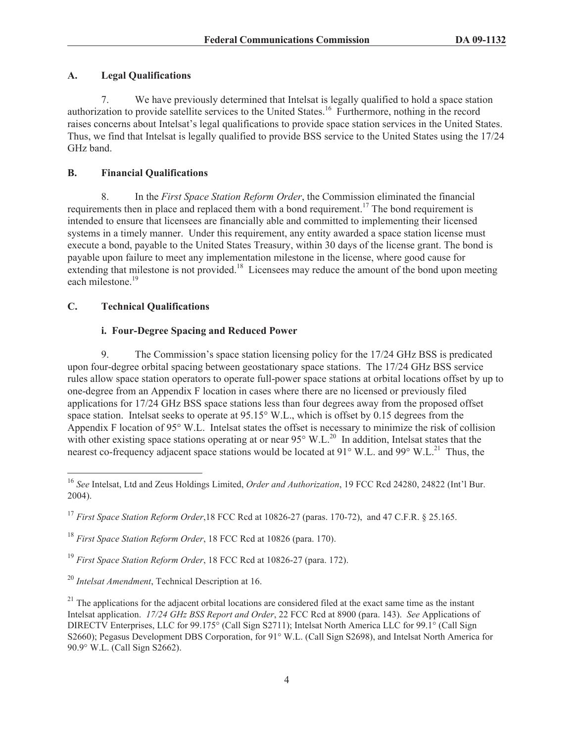## **A. Legal Qualifications**

7. We have previously determined that Intelsat is legally qualified to hold a space station authorization to provide satellite services to the United States.<sup>16</sup> Furthermore, nothing in the record raises concerns about Intelsat's legal qualifications to provide space station services in the United States. Thus, we find that Intelsat is legally qualified to provide BSS service to the United States using the 17/24 GHz band.

## **B. Financial Qualifications**

8. In the *First Space Station Reform Order*, the Commission eliminated the financial requirements then in place and replaced them with a bond requirement.<sup>17</sup> The bond requirement is intended to ensure that licensees are financially able and committed to implementing their licensed systems in a timely manner. Under this requirement, any entity awarded a space station license must execute a bond, payable to the United States Treasury, within 30 days of the license grant. The bond is payable upon failure to meet any implementation milestone in the license, where good cause for extending that milestone is not provided.<sup>18</sup> Licensees may reduce the amount of the bond upon meeting each milestone.<sup>19</sup>

# **C. Technical Qualifications**

# **i. Four-Degree Spacing and Reduced Power**

9. The Commission's space station licensing policy for the 17/24 GHz BSS is predicated upon four-degree orbital spacing between geostationary space stations. The 17/24 GHz BSS service rules allow space station operators to operate full-power space stations at orbital locations offset by up to one-degree from an Appendix F location in cases where there are no licensed or previously filed applications for 17/24 GHz BSS space stations less than four degrees away from the proposed offset space station. Intelsat seeks to operate at 95.15° W.L., which is offset by 0.15 degrees from the Appendix F location of 95° W.L. Intelsat states the offset is necessary to minimize the risk of collision with other existing space stations operating at or near  $95^{\circ}$  W.L.<sup>20</sup> In addition, Intelsat states that the nearest co-frequency adjacent space stations would be located at  $91^{\circ}$  W.L. and  $99^{\circ}$  W.L.<sup>21</sup> Thus, the

<sup>18</sup> *First Space Station Reform Order*, 18 FCC Rcd at 10826 (para. 170).

<sup>19</sup> *First Space Station Reform Order*, 18 FCC Rcd at 10826-27 (para. 172).

<sup>20</sup> *Intelsat Amendment*, Technical Description at 16.

 $21$  The applications for the adjacent orbital locations are considered filed at the exact same time as the instant Intelsat application. *17/24 GHz BSS Report and Order*, 22 FCC Rcd at 8900 (para. 143). *See* Applications of DIRECTV Enterprises, LLC for 99.175° (Call Sign S2711); Intelsat North America LLC for 99.1° (Call Sign S2660); Pegasus Development DBS Corporation, for 91° W.L. (Call Sign S2698), and Intelsat North America for 90.9° W.L. (Call Sign S2662).

<sup>16</sup> *See* Intelsat, Ltd and Zeus Holdings Limited, *Order and Authorization*, 19 FCC Rcd 24280, 24822 (Int'l Bur. 2004).

<sup>17</sup> *First Space Station Reform Order*,18 FCC Rcd at 10826-27 (paras. 170-72), and 47 C.F.R. § 25.165.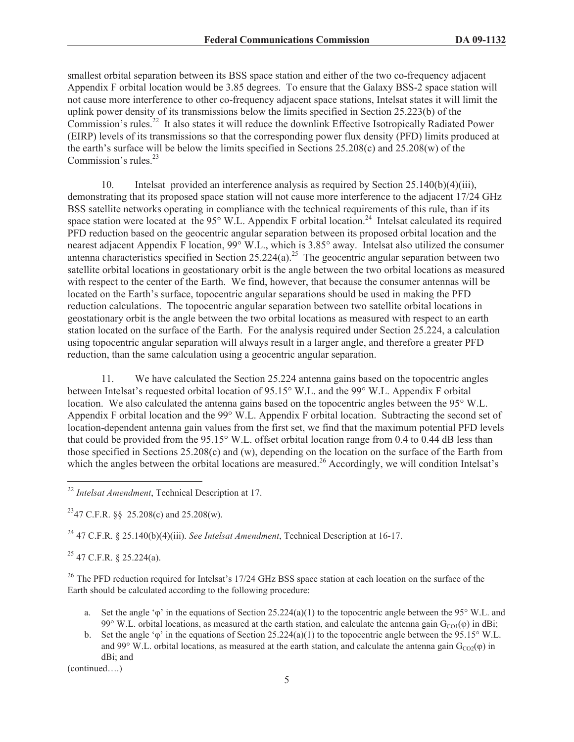smallest orbital separation between its BSS space station and either of the two co-frequency adjacent Appendix F orbital location would be 3.85 degrees. To ensure that the Galaxy BSS-2 space station will not cause more interference to other co-frequency adjacent space stations, Intelsat states it will limit the uplink power density of its transmissions below the limits specified in Section 25.223(b) of the Commission's rules.<sup>22</sup> It also states it will reduce the downlink Effective Isotropically Radiated Power (EIRP) levels of its transmissions so that the corresponding power flux density (PFD) limits produced at the earth's surface will be below the limits specified in Sections 25.208(c) and 25.208(w) of the Commission's rules.<sup>23</sup>

10. Intelsat provided an interference analysis as required by Section 25.140(b)(4)(iii), demonstrating that its proposed space station will not cause more interference to the adjacent 17/24 GHz BSS satellite networks operating in compliance with the technical requirements of this rule, than if its space station were located at the  $95^\circ$  W.L. Appendix F orbital location.<sup>24</sup> Intelsat calculated its required PFD reduction based on the geocentric angular separation between its proposed orbital location and the nearest adjacent Appendix F location, 99° W.L., which is 3.85° away. Intelsat also utilized the consumer antenna characteristics specified in Section  $25.224(a)$ .<sup>25</sup> The geocentric angular separation between two satellite orbital locations in geostationary orbit is the angle between the two orbital locations as measured with respect to the center of the Earth. We find, however, that because the consumer antennas will be located on the Earth's surface, topocentric angular separations should be used in making the PFD reduction calculations. The topocentric angular separation between two satellite orbital locations in geostationary orbit is the angle between the two orbital locations as measured with respect to an earth station located on the surface of the Earth. For the analysis required under Section 25.224, a calculation using topocentric angular separation will always result in a larger angle, and therefore a greater PFD reduction, than the same calculation using a geocentric angular separation.

11. We have calculated the Section 25.224 antenna gains based on the topocentric angles between Intelsat's requested orbital location of 95.15° W.L. and the 99° W.L. Appendix F orbital location. We also calculated the antenna gains based on the topocentric angles between the 95° W.L. Appendix F orbital location and the 99° W.L. Appendix F orbital location. Subtracting the second set of location-dependent antenna gain values from the first set, we find that the maximum potential PFD levels that could be provided from the 95.15° W.L. offset orbital location range from 0.4 to 0.44 dB less than those specified in Sections 25.208(c) and (w), depending on the location on the surface of the Earth from which the angles between the orbital locations are measured.<sup>26</sup> Accordingly, we will condition Intelsat's

<sup>24</sup> 47 C.F.R. § 25.140(b)(4)(iii). *See Intelsat Amendment*, Technical Description at 16-17.

 $^{25}$  47 C.F.R. § 25.224(a).

<sup>26</sup> The PFD reduction required for Intelsat's 17/24 GHz BSS space station at each location on the surface of the Earth should be calculated according to the following procedure:

- a. Set the angle ' $\varphi$ ' in the equations of Section 25.224(a)(1) to the topocentric angle between the 95° W.L. and 99° W.L. orbital locations, as measured at the earth station, and calculate the antenna gain  $G_{\text{CO}}(\phi)$  in dBi;
- b. Set the angle ' $\varphi$ ' in the equations of Section 25.224(a)(1) to the topocentric angle between the 95.15° W.L. and 99° W.L. orbital locations, as measured at the earth station, and calculate the antenna gain  $G_{CO2}(\phi)$  in dBi; and

(continued….)

<sup>22</sup> *Intelsat Amendment*, Technical Description at 17.

<sup>&</sup>lt;sup>23</sup>47 C.F.R. §§ 25.208(c) and 25.208(w).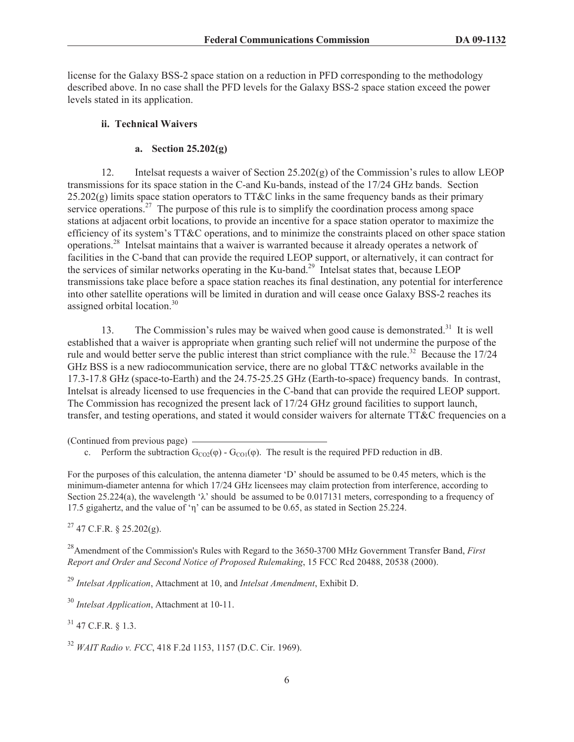license for the Galaxy BSS-2 space station on a reduction in PFD corresponding to the methodology described above. In no case shall the PFD levels for the Galaxy BSS-2 space station exceed the power levels stated in its application.

### **ii. Technical Waivers**

### **a. Section 25.202(g)**

12. Intelsat requests a waiver of Section 25.202(g) of the Commission's rules to allow LEOP transmissions for its space station in the C-and Ku-bands, instead of the 17/24 GHz bands. Section  $25.202(g)$  limits space station operators to TT&C links in the same frequency bands as their primary service operations.<sup>27</sup> The purpose of this rule is to simplify the coordination process among space stations at adjacent orbit locations, to provide an incentive for a space station operator to maximize the efficiency of its system's TT&C operations, and to minimize the constraints placed on other space station operations.<sup>28</sup> Intelsat maintains that a waiver is warranted because it already operates a network of facilities in the C-band that can provide the required LEOP support, or alternatively, it can contract for the services of similar networks operating in the Ku-band.<sup>29</sup> Intelsat states that, because LEOP transmissions take place before a space station reaches its final destination, any potential for interference into other satellite operations will be limited in duration and will cease once Galaxy BSS-2 reaches its assigned orbital location.<sup>30</sup>

13. The Commission's rules may be waived when good cause is demonstrated.<sup>31</sup> It is well established that a waiver is appropriate when granting such relief will not undermine the purpose of the rule and would better serve the public interest than strict compliance with the rule.<sup>32</sup> Because the 17/24 GHz BSS is a new radiocommunication service, there are no global TT&C networks available in the 17.3-17.8 GHz (space-to-Earth) and the 24.75-25.25 GHz (Earth-to-space) frequency bands. In contrast, Intelsat is already licensed to use frequencies in the C-band that can provide the required LEOP support. The Commission has recognized the present lack of 17/24 GHz ground facilities to support launch, transfer, and testing operations, and stated it would consider waivers for alternate TT&C frequencies on a

(Continued from previous page)

c. Perform the subtraction  $G_{CO2}(\phi)$  -  $G_{CO1}(\phi)$ . The result is the required PFD reduction in dB.

For the purposes of this calculation, the antenna diameter 'D' should be assumed to be 0.45 meters, which is the minimum-diameter antenna for which 17/24 GHz licensees may claim protection from interference, according to Section 25.224(a), the wavelength ' $\lambda$ ' should be assumed to be 0.017131 meters, corresponding to a frequency of 17.5 gigahertz, and the value of 'η' can be assumed to be 0.65, as stated in Section 25.224.

 $^{27}$  47 C.F.R. § 25.202(g).

<sup>28</sup>Amendment of the Commission's Rules with Regard to the 3650-3700 MHz Government Transfer Band, *First Report and Order and Second Notice of Proposed Rulemaking*, 15 FCC Rcd 20488, 20538 (2000).

<sup>29</sup> *Intelsat Application*, Attachment at 10, and *Intelsat Amendment*, Exhibit D.

<sup>30</sup> *Intelsat Application*, Attachment at 10-11.

 $31$  47 C.F.R.  $8$  1.3.

<sup>32</sup> *WAIT Radio v. FCC*, 418 F.2d 1153, 1157 (D.C. Cir. 1969).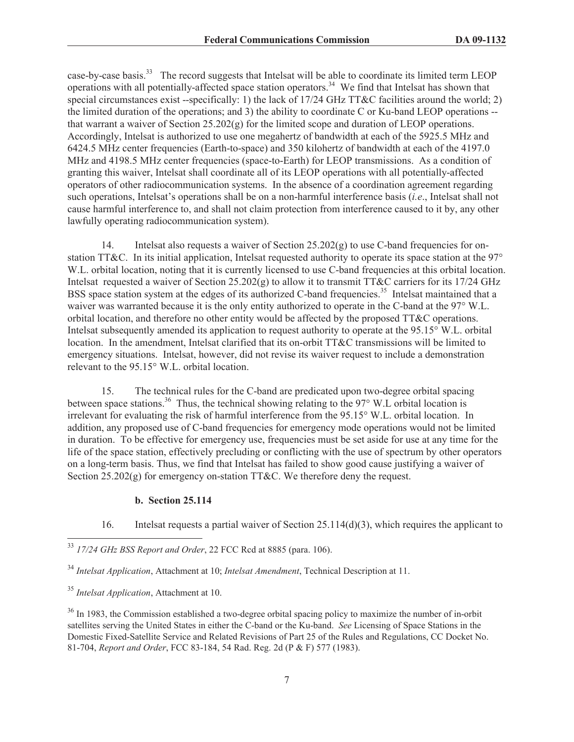case-by-case basis.<sup>33</sup> The record suggests that Intelsat will be able to coordinate its limited term LEOP operations with all potentially-affected space station operators.<sup>34</sup> We find that Intelsat has shown that special circumstances exist --specifically: 1) the lack of 17/24 GHz TT&C facilities around the world; 2) the limited duration of the operations; and 3) the ability to coordinate C or Ku-band LEOP operations - that warrant a waiver of Section 25.202(g) for the limited scope and duration of LEOP operations. Accordingly, Intelsat is authorized to use one megahertz of bandwidth at each of the 5925.5 MHz and 6424.5 MHz center frequencies (Earth-to-space) and 350 kilohertz of bandwidth at each of the 4197.0 MHz and 4198.5 MHz center frequencies (space-to-Earth) for LEOP transmissions. As a condition of granting this waiver, Intelsat shall coordinate all of its LEOP operations with all potentially-affected operators of other radiocommunication systems. In the absence of a coordination agreement regarding such operations, Intelsat's operations shall be on a non-harmful interference basis (*i.e*., Intelsat shall not cause harmful interference to, and shall not claim protection from interference caused to it by, any other lawfully operating radiocommunication system).

14. Intelsat also requests a waiver of Section  $25.202(g)$  to use C-band frequencies for onstation TT&C. In its initial application, Intelsat requested authority to operate its space station at the 97° W.L. orbital location, noting that it is currently licensed to use C-band frequencies at this orbital location. Intelsat requested a waiver of Section 25.202(g) to allow it to transmit TT&C carriers for its 17/24 GHz BSS space station system at the edges of its authorized C-band frequencies.<sup>35</sup> Intelsat maintained that a waiver was warranted because it is the only entity authorized to operate in the C-band at the 97° W.L. orbital location, and therefore no other entity would be affected by the proposed TT&C operations. Intelsat subsequently amended its application to request authority to operate at the 95.15° W.L. orbital location. In the amendment, Intelsat clarified that its on-orbit TT&C transmissions will be limited to emergency situations. Intelsat, however, did not revise its waiver request to include a demonstration relevant to the 95.15° W.L. orbital location.

15. The technical rules for the C-band are predicated upon two-degree orbital spacing between space stations.<sup>36</sup> Thus, the technical showing relating to the 97° W.L orbital location is irrelevant for evaluating the risk of harmful interference from the 95.15° W.L. orbital location. In addition, any proposed use of C-band frequencies for emergency mode operations would not be limited in duration. To be effective for emergency use, frequencies must be set aside for use at any time for the life of the space station, effectively precluding or conflicting with the use of spectrum by other operators on a long-term basis. Thus, we find that Intelsat has failed to show good cause justifying a waiver of Section  $25.202(g)$  for emergency on-station TT&C. We therefore deny the request.

### **b. Section 25.114**

16. Intelsat requests a partial waiver of Section 25.114(d)(3), which requires the applicant to

<sup>33</sup> *17/24 GHz BSS Report and Order*, 22 FCC Rcd at 8885 (para. 106).

<sup>34</sup> *Intelsat Application*, Attachment at 10; *Intelsat Amendment*, Technical Description at 11.

<sup>35</sup> *Intelsat Application*, Attachment at 10.

<sup>&</sup>lt;sup>36</sup> In 1983, the Commission established a two-degree orbital spacing policy to maximize the number of in-orbit satellites serving the United States in either the C-band or the Ku-band. *See* Licensing of Space Stations in the Domestic Fixed-Satellite Service and Related Revisions of Part 25 of the Rules and Regulations, CC Docket No. 81-704, *Report and Order*, FCC 83-184, 54 Rad. Reg. 2d (P & F) 577 (1983).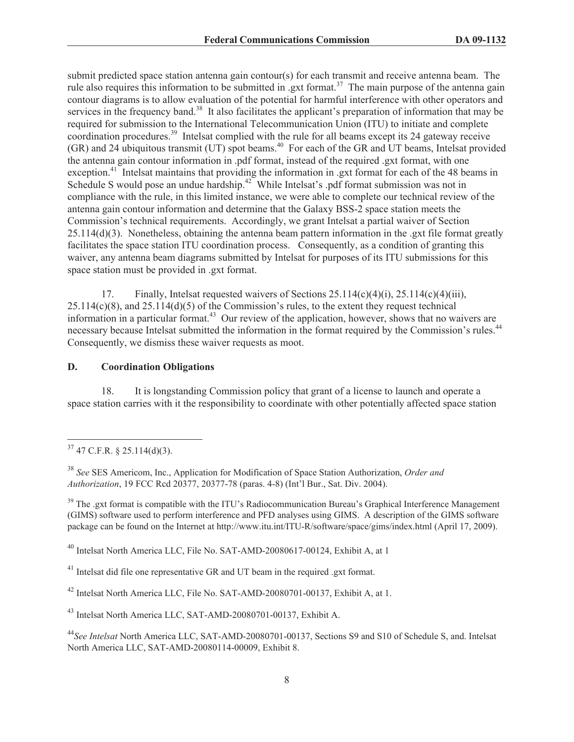submit predicted space station antenna gain contour(s) for each transmit and receive antenna beam. The rule also requires this information to be submitted in .gxt format.<sup>37</sup> The main purpose of the antenna gain contour diagrams is to allow evaluation of the potential for harmful interference with other operators and services in the frequency band.<sup>38</sup> It also facilitates the applicant's preparation of information that may be required for submission to the International Telecommunication Union (ITU) to initiate and complete coordination procedures.<sup>39</sup> Intelsat complied with the rule for all beams except its 24 gateway receive (GR) and 24 ubiquitous transmit (UT) spot beams.<sup>40</sup> For each of the GR and UT beams, Intelsat provided the antenna gain contour information in .pdf format, instead of the required .gxt format, with one exception.<sup>41</sup> Intelsat maintains that providing the information in .gxt format for each of the 48 beams in Schedule S would pose an undue hardship.<sup>42</sup> While Intelsat's .pdf format submission was not in compliance with the rule, in this limited instance, we were able to complete our technical review of the antenna gain contour information and determine that the Galaxy BSS-2 space station meets the Commission's technical requirements. Accordingly, we grant Intelsat a partial waiver of Section  $25.114(d)(3)$ . Nonetheless, obtaining the antenna beam pattern information in the .gxt file format greatly facilitates the space station ITU coordination process. Consequently, as a condition of granting this waiver, any antenna beam diagrams submitted by Intelsat for purposes of its ITU submissions for this space station must be provided in .gxt format.

17. Finally, Intelsat requested waivers of Sections 25.114(c)(4)(i), 25.114(c)(4)(iii),  $25.114(c)(8)$ , and  $25.114(d)(5)$  of the Commission's rules, to the extent they request technical information in a particular format.<sup>43</sup> Our review of the application, however, shows that no waivers are necessary because Intelsat submitted the information in the format required by the Commission's rules.<sup>44</sup> Consequently, we dismiss these waiver requests as moot.

#### **D. Coordination Obligations**

18. It is longstanding Commission policy that grant of a license to launch and operate a space station carries with it the responsibility to coordinate with other potentially affected space station

 $37$  47 C.F.R. § 25.114(d)(3).

<sup>38</sup> *See* SES Americom, Inc., Application for Modification of Space Station Authorization, *Order and Authorization*, 19 FCC Rcd 20377, 20377-78 (paras. 4-8) (Int'l Bur., Sat. Div. 2004).

<sup>&</sup>lt;sup>39</sup> The .gxt format is compatible with the ITU's Radiocommunication Bureau's Graphical Interference Management (GIMS) software used to perform interference and PFD analyses using GIMS. A description of the GIMS software package can be found on the Internet at http://www.itu.int/ITU-R/software/space/gims/index.html (April 17, 2009).

<sup>40</sup> Intelsat North America LLC, File No. SAT-AMD-20080617-00124, Exhibit A, at 1

<sup>&</sup>lt;sup>41</sup> Intelsat did file one representative GR and UT beam in the required .gxt format.

<sup>42</sup> Intelsat North America LLC, File No. SAT-AMD-20080701-00137, Exhibit A, at 1.

<sup>43</sup> Intelsat North America LLC, SAT-AMD-20080701-00137, Exhibit A.

<sup>44</sup>*See Intelsat* North America LLC, SAT-AMD-20080701-00137, Sections S9 and S10 of Schedule S, and. Intelsat North America LLC, SAT-AMD-20080114-00009, Exhibit 8.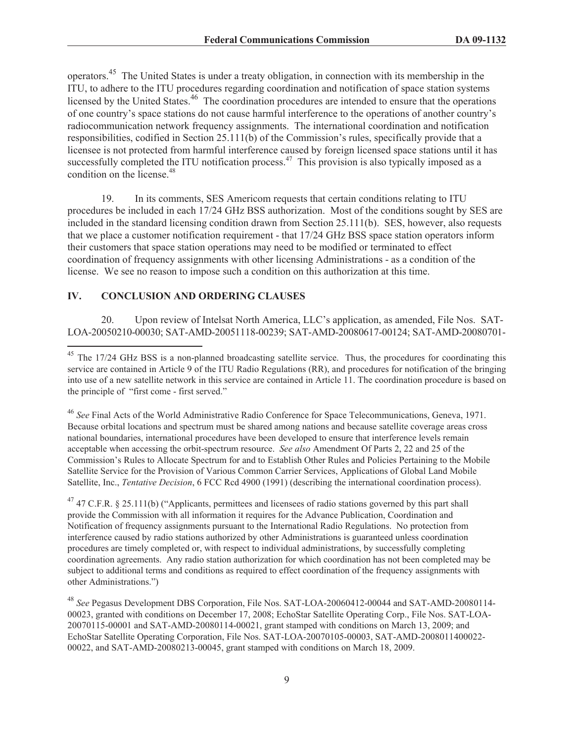operators.<sup>45</sup> The United States is under a treaty obligation, in connection with its membership in the ITU, to adhere to the ITU procedures regarding coordination and notification of space station systems licensed by the United States.<sup>46</sup> The coordination procedures are intended to ensure that the operations of one country's space stations do not cause harmful interference to the operations of another country's radiocommunication network frequency assignments. The international coordination and notification responsibilities, codified in Section 25.111(b) of the Commission's rules, specifically provide that a licensee is not protected from harmful interference caused by foreign licensed space stations until it has successfully completed the ITU notification process.<sup>47</sup> This provision is also typically imposed as a condition on the license.<sup>48</sup>

19. In its comments, SES Americom requests that certain conditions relating to ITU procedures be included in each 17/24 GHz BSS authorization. Most of the conditions sought by SES are included in the standard licensing condition drawn from Section 25.111(b). SES, however, also requests that we place a customer notification requirement - that 17/24 GHz BSS space station operators inform their customers that space station operations may need to be modified or terminated to effect coordination of frequency assignments with other licensing Administrations - as a condition of the license. We see no reason to impose such a condition on this authorization at this time.

### **IV. CONCLUSION AND ORDERING CLAUSES**

20. Upon review of Intelsat North America, LLC's application, as amended, File Nos. SAT-LOA-20050210-00030; SAT-AMD-20051118-00239; SAT-AMD-20080617-00124; SAT-AMD-20080701-

<sup>&</sup>lt;sup>45</sup> The 17/24 GHz BSS is a non-planned broadcasting satellite service. Thus, the procedures for coordinating this service are contained in Article 9 of the ITU Radio Regulations (RR), and procedures for notification of the bringing into use of a new satellite network in this service are contained in Article 11. The coordination procedure is based on the principle of "first come - first served."

<sup>46</sup> *See* Final Acts of the World Administrative Radio Conference for Space Telecommunications, Geneva, 1971. Because orbital locations and spectrum must be shared among nations and because satellite coverage areas cross national boundaries, international procedures have been developed to ensure that interference levels remain acceptable when accessing the orbit-spectrum resource. *See also* Amendment Of Parts 2, 22 and 25 of the Commission's Rules to Allocate Spectrum for and to Establish Other Rules and Policies Pertaining to the Mobile Satellite Service for the Provision of Various Common Carrier Services, Applications of Global Land Mobile Satellite, Inc., *Tentative Decision*, 6 FCC Rcd 4900 (1991) (describing the international coordination process).

<sup>&</sup>lt;sup>47</sup> 47 C.F.R. § 25.111(b) ("Applicants, permittees and licensees of radio stations governed by this part shall provide the Commission with all information it requires for the Advance Publication, Coordination and Notification of frequency assignments pursuant to the International Radio Regulations. No protection from interference caused by radio stations authorized by other Administrations is guaranteed unless coordination procedures are timely completed or, with respect to individual administrations, by successfully completing coordination agreements. Any radio station authorization for which coordination has not been completed may be subject to additional terms and conditions as required to effect coordination of the frequency assignments with other Administrations.")

<sup>48</sup> *See* Pegasus Development DBS Corporation, File Nos. SAT-LOA-20060412-00044 and SAT-AMD-20080114- 00023, granted with conditions on December 17, 2008; EchoStar Satellite Operating Corp., File Nos. SAT-LOA-20070115-00001 and SAT-AMD-20080114-00021, grant stamped with conditions on March 13, 2009; and EchoStar Satellite Operating Corporation, File Nos. SAT-LOA-20070105-00003, SAT-AMD-2008011400022- 00022, and SAT-AMD-20080213-00045, grant stamped with conditions on March 18, 2009.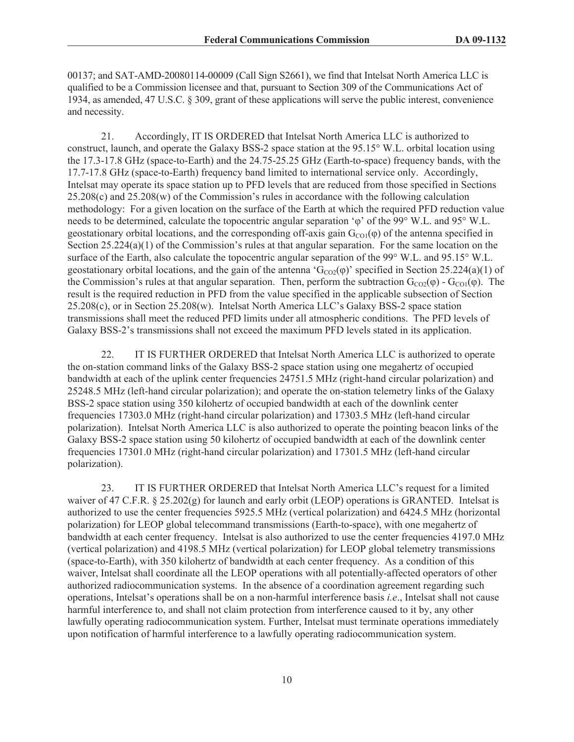00137; and SAT-AMD-20080114-00009 (Call Sign S2661), we find that Intelsat North America LLC is qualified to be a Commission licensee and that, pursuant to Section 309 of the Communications Act of 1934, as amended, 47 U.S.C. § 309, grant of these applications will serve the public interest, convenience and necessity.

21. Accordingly, IT IS ORDERED that Intelsat North America LLC is authorized to construct, launch, and operate the Galaxy BSS-2 space station at the 95.15° W.L. orbital location using the 17.3-17.8 GHz (space-to-Earth) and the 24.75-25.25 GHz (Earth-to-space) frequency bands, with the 17.7-17.8 GHz (space-to-Earth) frequency band limited to international service only. Accordingly, Intelsat may operate its space station up to PFD levels that are reduced from those specified in Sections 25.208(c) and 25.208(w) of the Commission's rules in accordance with the following calculation methodology: For a given location on the surface of the Earth at which the required PFD reduction value needs to be determined, calculate the topocentric angular separation 'φ' of the 99° W.L. and 95° W.L. geostationary orbital locations, and the corresponding off-axis gain  $G_{\text{CO}}(p)$  of the antenna specified in Section 25.224(a)(1) of the Commission's rules at that angular separation. For the same location on the surface of the Earth, also calculate the topocentric angular separation of the 99° W.L. and 95.15° W.L. geostationary orbital locations, and the gain of the antenna ' $G_{CO2}(\varphi)$ ' specified in Section 25.224(a)(1) of the Commission's rules at that angular separation. Then, perform the subtraction  $G_{CO2}(\phi)$  -  $G_{CO1}(\phi)$ . The result is the required reduction in PFD from the value specified in the applicable subsection of Section 25.208(c), or in Section 25.208(w). Intelsat North America LLC's Galaxy BSS-2 space station transmissions shall meet the reduced PFD limits under all atmospheric conditions. The PFD levels of Galaxy BSS-2's transmissions shall not exceed the maximum PFD levels stated in its application.

22. IT IS FURTHER ORDERED that Intelsat North America LLC is authorized to operate the on-station command links of the Galaxy BSS-2 space station using one megahertz of occupied bandwidth at each of the uplink center frequencies 24751.5 MHz (right-hand circular polarization) and 25248.5 MHz (left-hand circular polarization); and operate the on-station telemetry links of the Galaxy BSS-2 space station using 350 kilohertz of occupied bandwidth at each of the downlink center frequencies 17303.0 MHz (right-hand circular polarization) and 17303.5 MHz (left-hand circular polarization). Intelsat North America LLC is also authorized to operate the pointing beacon links of the Galaxy BSS-2 space station using 50 kilohertz of occupied bandwidth at each of the downlink center frequencies 17301.0 MHz (right-hand circular polarization) and 17301.5 MHz (left-hand circular polarization).

23. IT IS FURTHER ORDERED that Intelsat North America LLC's request for a limited waiver of 47 C.F.R. § 25.202(g) for launch and early orbit (LEOP) operations is GRANTED. Intelsat is authorized to use the center frequencies 5925.5 MHz (vertical polarization) and 6424.5 MHz (horizontal polarization) for LEOP global telecommand transmissions (Earth-to-space), with one megahertz of bandwidth at each center frequency. Intelsat is also authorized to use the center frequencies 4197.0 MHz (vertical polarization) and 4198.5 MHz (vertical polarization) for LEOP global telemetry transmissions (space-to-Earth), with 350 kilohertz of bandwidth at each center frequency. As a condition of this waiver, Intelsat shall coordinate all the LEOP operations with all potentially-affected operators of other authorized radiocommunication systems. In the absence of a coordination agreement regarding such operations, Intelsat's operations shall be on a non-harmful interference basis *i.e*., Intelsat shall not cause harmful interference to, and shall not claim protection from interference caused to it by, any other lawfully operating radiocommunication system. Further, Intelsat must terminate operations immediately upon notification of harmful interference to a lawfully operating radiocommunication system.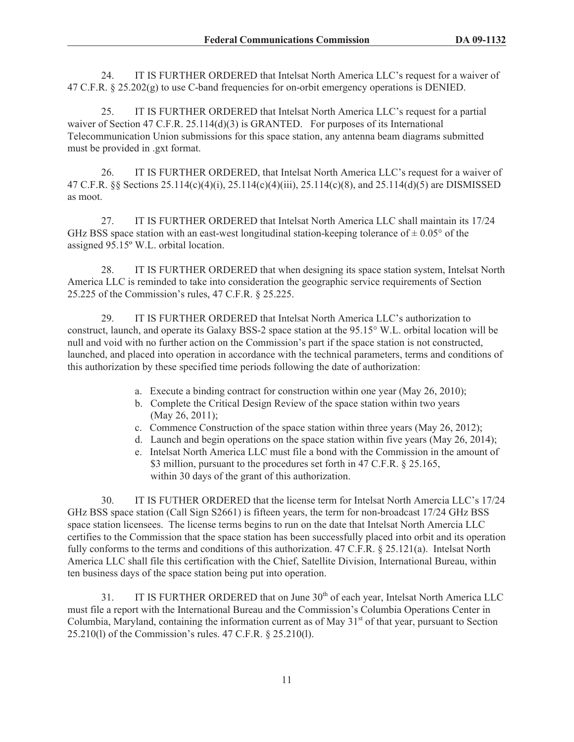24. IT IS FURTHER ORDERED that Intelsat North America LLC's request for a waiver of 47 C.F.R. § 25.202(g) to use C-band frequencies for on-orbit emergency operations is DENIED.

25. IT IS FURTHER ORDERED that Intelsat North America LLC's request for a partial waiver of Section 47 C.F.R. 25.114(d)(3) is GRANTED. For purposes of its International Telecommunication Union submissions for this space station, any antenna beam diagrams submitted must be provided in .gxt format.

26. IT IS FURTHER ORDERED, that Intelsat North America LLC's request for a waiver of 47 C.F.R. §§ Sections 25.114(c)(4)(i), 25.114(c)(4)(iii), 25.114(c)(8), and 25.114(d)(5) are DISMISSED as moot.

27. IT IS FURTHER ORDERED that Intelsat North America LLC shall maintain its 17/24 GHz BSS space station with an east-west longitudinal station-keeping tolerance of  $\pm 0.05^{\circ}$  of the assigned 95.15º W.L. orbital location.

28. IT IS FURTHER ORDERED that when designing its space station system, Intelsat North America LLC is reminded to take into consideration the geographic service requirements of Section 25.225 of the Commission's rules, 47 C.F.R. § 25.225.

29. IT IS FURTHER ORDERED that Intelsat North America LLC's authorization to construct, launch, and operate its Galaxy BSS-2 space station at the 95.15° W.L. orbital location will be null and void with no further action on the Commission's part if the space station is not constructed, launched, and placed into operation in accordance with the technical parameters, terms and conditions of this authorization by these specified time periods following the date of authorization:

- a. Execute a binding contract for construction within one year (May 26, 2010);
- b. Complete the Critical Design Review of the space station within two years (May 26, 2011);
- c. Commence Construction of the space station within three years (May 26, 2012);
- d. Launch and begin operations on the space station within five years (May 26, 2014);
- e. Intelsat North America LLC must file a bond with the Commission in the amount of \$3 million, pursuant to the procedures set forth in 47 C.F.R. § 25.165, within 30 days of the grant of this authorization.

30. IT IS FUTHER ORDERED that the license term for Intelsat North Amercia LLC's 17/24 GHz BSS space station (Call Sign S2661) is fifteen years, the term for non-broadcast 17/24 GHz BSS space station licensees. The license terms begins to run on the date that Intelsat North Amercia LLC certifies to the Commission that the space station has been successfully placed into orbit and its operation fully conforms to the terms and conditions of this authorization. 47 C.F.R. § 25.121(a). Intelsat North America LLC shall file this certification with the Chief, Satellite Division, International Bureau, within ten business days of the space station being put into operation.

31. IT IS FURTHER ORDERED that on June 30<sup>th</sup> of each year, Intelsat North America LLC must file a report with the International Bureau and the Commission's Columbia Operations Center in Columbia, Maryland, containing the information current as of May  $31<sup>st</sup>$  of that year, pursuant to Section 25.210(l) of the Commission's rules. 47 C.F.R. § 25.210(l).